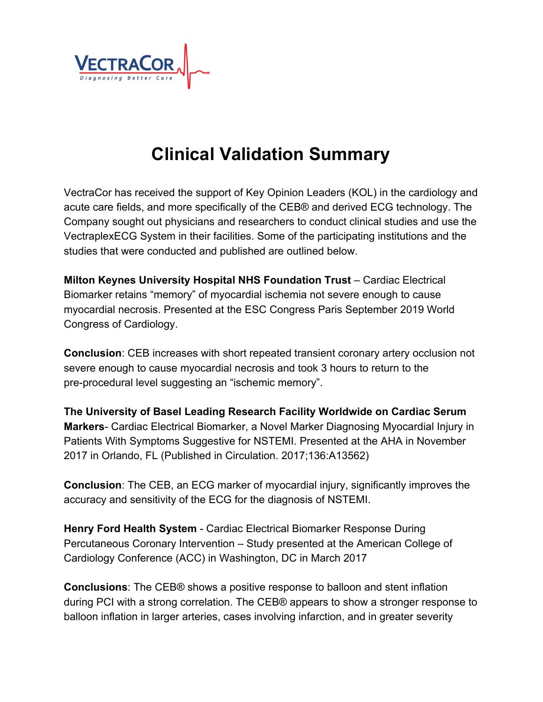

## **Clinical Validation Summary**

VectraCor has received the support of Key Opinion Leaders (KOL) in the cardiology and acute care fields, and more specifically of the CEB® and derived ECG technology. The Company sought out physicians and researchers to conduct clinical studies and use the VectraplexECG System in their facilities. Some of the participating institutions and the studies that were conducted and published are outlined below.

**Milton Keynes University Hospital NHS Foundation Trust** – Cardiac Electrical Biomarker retains "memory" of myocardial ischemia not severe enough to cause myocardial necrosis. Presented at the ESC Congress Paris September 2019 World Congress of Cardiology.

**Conclusion**: CEB increases with short repeated transient coronary artery occlusion not severe enough to cause myocardial necrosis and took 3 hours to return to the pre-procedural level suggesting an "ischemic memory".

**The University of Basel Leading Research Facility Worldwide on Cardiac Serum Markers**- Cardiac Electrical Biomarker, a Novel Marker Diagnosing Myocardial Injury in Patients With Symptoms Suggestive for NSTEMI. Presented at the AHA in November 2017 in Orlando, FL (Published in Circulation. 2017;136:A13562)

**Conclusion**: The CEB, an ECG marker of myocardial injury, significantly improves the accuracy and sensitivity of the ECG for the diagnosis of NSTEMI.

**Henry Ford Health System** - Cardiac Electrical Biomarker Response During Percutaneous Coronary Intervention – Study presented at the American College of Cardiology Conference (ACC) in Washington, DC in March 2017

**Conclusions**: The CEB® shows a positive response to balloon and stent inflation during PCI with a strong correlation. The CEB® appears to show a stronger response to balloon inflation in larger arteries, cases involving infarction, and in greater severity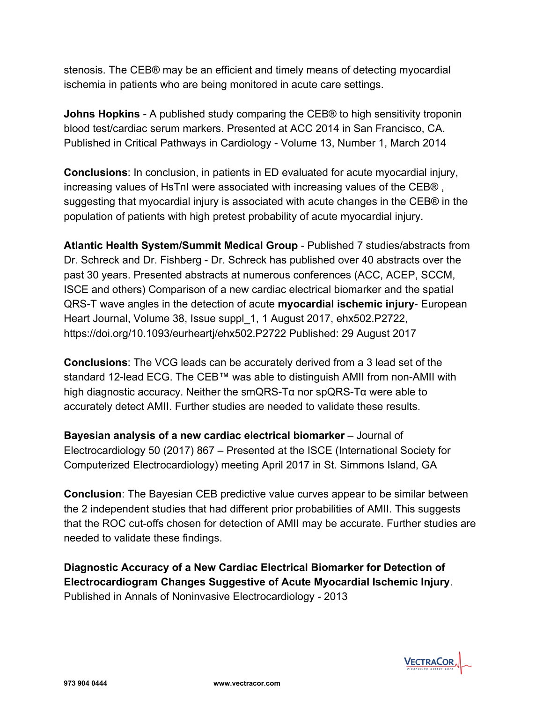stenosis. The CEB® may be an efficient and timely means of detecting myocardial ischemia in patients who are being monitored in acute care settings.

**Johns Hopkins** - A published study comparing the CEB® to high sensitivity troponin blood test/cardiac serum markers. Presented at ACC 2014 in San Francisco, CA. Published in Critical Pathways in Cardiology - Volume 13, Number 1, March 2014

**Conclusions**: In conclusion, in patients in ED evaluated for acute myocardial injury, increasing values of HsTnI were associated with increasing values of the CEB® , suggesting that myocardial injury is associated with acute changes in the CEB® in the population of patients with high pretest probability of acute myocardial injury.

**Atlantic Health System/Summit Medical Group** - Published 7 studies/abstracts from Dr. Schreck and Dr. Fishberg - Dr. Schreck has published over 40 abstracts over the past 30 years. Presented abstracts at numerous conferences (ACC, ACEP, SCCM, ISCE and others) Comparison of a new cardiac electrical biomarker and the spatial QRS-T wave angles in the detection of acute **myocardial ischemic injury**- European Heart Journal, Volume 38, Issue suppl\_1, 1 August 2017, ehx502.P2722, https://doi.org/10.1093/eurheartj/ehx502.P2722 Published: 29 August 2017

**Conclusions**: The VCG leads can be accurately derived from a 3 lead set of the standard 12-lead ECG. The CEB™ was able to distinguish AMII from non-AMII with high diagnostic accuracy. Neither the smQRS-Tα nor spQRS-Tα were able to accurately detect AMII. Further studies are needed to validate these results.

**Bayesian analysis of a new cardiac electrical biomarker** – Journal of Electrocardiology 50 (2017) 867 – Presented at the ISCE (International Society for Computerized Electrocardiology) meeting April 2017 in St. Simmons Island, GA

**Conclusion**: The Bayesian CEB predictive value curves appear to be similar between the 2 independent studies that had different prior probabilities of AMII. This suggests that the ROC cut-offs chosen for detection of AMII may be accurate. Further studies are needed to validate these findings.

**Diagnostic Accuracy of a New Cardiac Electrical Biomarker for Detection of Electrocardiogram Changes Suggestive of Acute Myocardial Ischemic Injury**. Published in Annals of Noninvasive Electrocardiology - 2013

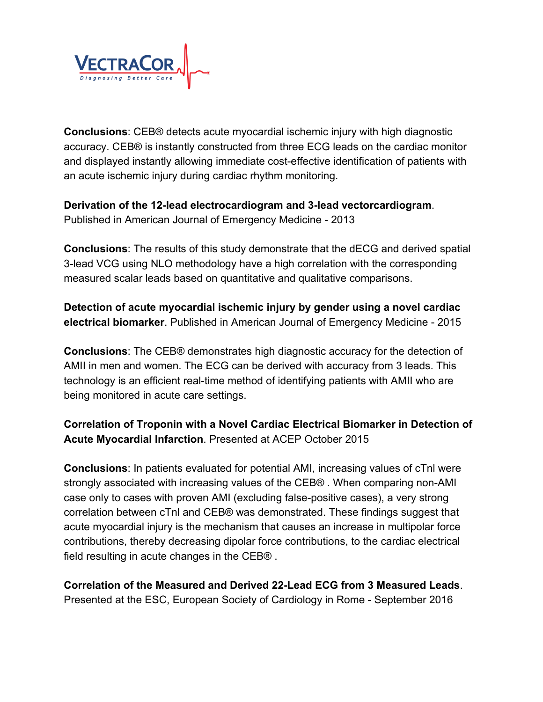

**Conclusions**: CEB® detects acute myocardial ischemic injury with high diagnostic accuracy. CEB® is instantly constructed from three ECG leads on the cardiac monitor and displayed instantly allowing immediate cost-effective identification of patients with an acute ischemic injury during cardiac rhythm monitoring.

**Derivation of the 12-lead electrocardiogram and 3-lead vectorcardiogram**. Published in American Journal of Emergency Medicine - 2013

**Conclusions**: The results of this study demonstrate that the dECG and derived spatial 3-lead VCG using NLO methodology have a high correlation with the corresponding measured scalar leads based on quantitative and qualitative comparisons.

**Detection of acute myocardial ischemic injury by gender using a novel cardiac electrical biomarker**. Published in American Journal of Emergency Medicine - 2015

**Conclusions**: The CEB® demonstrates high diagnostic accuracy for the detection of AMII in men and women. The ECG can be derived with accuracy from 3 leads. This technology is an efficient real-time method of identifying patients with AMII who are being monitored in acute care settings.

**Correlation of Troponin with a Novel Cardiac Electrical Biomarker in Detection of Acute Myocardial Infarction**. Presented at ACEP October 2015

**Conclusions**: In patients evaluated for potential AMI, increasing values of cTnl were strongly associated with increasing values of the CEB® . When comparing non-AMI case only to cases with proven AMI (excluding false-positive cases), a very strong correlation between cTnl and CEB® was demonstrated. These findings suggest that acute myocardial injury is the mechanism that causes an increase in multipolar force contributions, thereby decreasing dipolar force contributions, to the cardiac electrical field resulting in acute changes in the CEB® .

**Correlation of the Measured and Derived 22-Lead ECG from 3 Measured Leads**. Presented at the ESC, European Society of Cardiology in Rome - September 2016